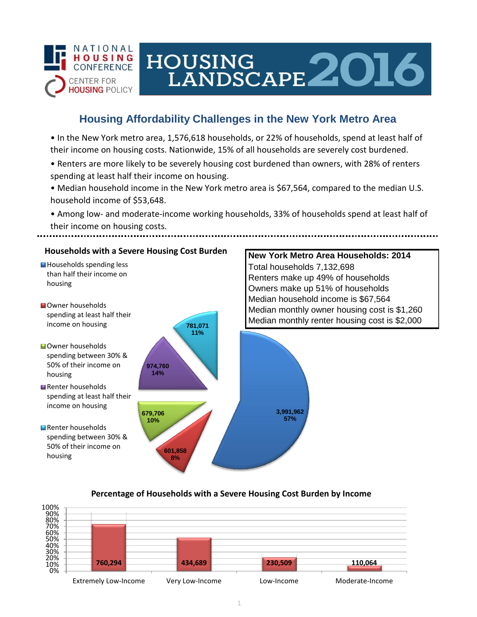

# HOUSING<br>LANDSCAPE 2016

# **Housing Affordability Challenges in the New York Metro Area**

• In the New York metro area, 1,576,618 households, or 22% of households, spend at least half of their income on housing costs. Nationwide, 15% of all households are severely cost burdened.

- Renters are more likely to be severely housing cost burdened than owners, with 28% of renters spending at least half their income on housing.
- Median household income in the New York metro area is \$67,564, compared to the median U.S. household income of \$53,648.
- Among low- and moderate-income working households, 33% of households spend at least half of their income on housing costs.



## **Percentage of Households with a Severe Housing Cost Burden by Income**